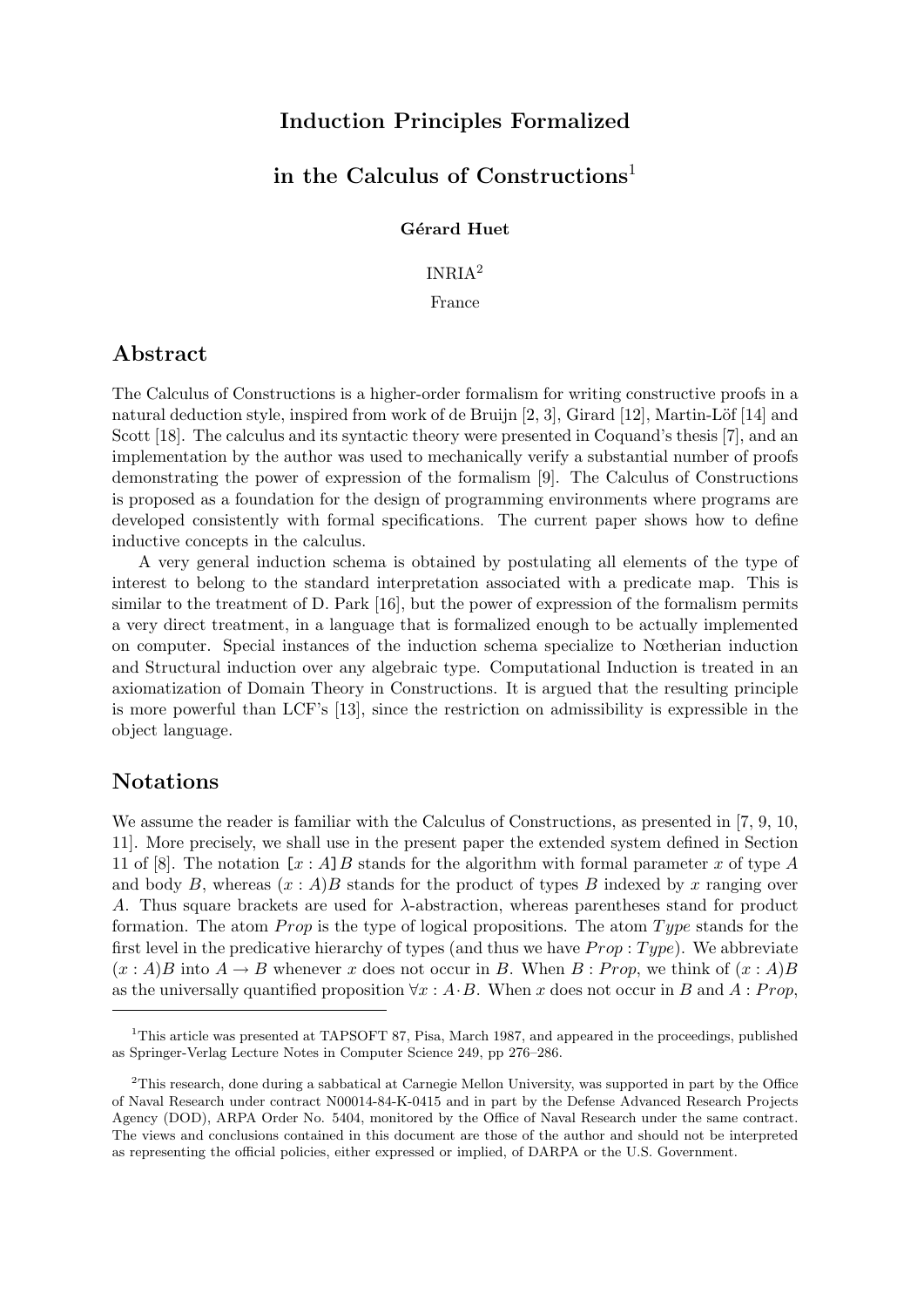# Induction Principles Formalized

# in the Calculus of Constructions<sup>1</sup>

Gérard Huet

INRIA<sup>2</sup>

France

# Abstract

The Calculus of Constructions is a higher-order formalism for writing constructive proofs in a natural deduction style, inspired from work of de Bruijn  $[2, 3]$ , Girard  $[12]$ , Martin-Löf  $[14]$  and Scott [18]. The calculus and its syntactic theory were presented in Coquand's thesis [7], and an implementation by the author was used to mechanically verify a substantial number of proofs demonstrating the power of expression of the formalism [9]. The Calculus of Constructions is proposed as a foundation for the design of programming environments where programs are developed consistently with formal specifications. The current paper shows how to define inductive concepts in the calculus.

A very general induction schema is obtained by postulating all elements of the type of interest to belong to the standard interpretation associated with a predicate map. This is similar to the treatment of D. Park [16], but the power of expression of the formalism permits a very direct treatment, in a language that is formalized enough to be actually implemented on computer. Special instances of the induction schema specialize to Nœtherian induction and Structural induction over any algebraic type. Computational Induction is treated in an axiomatization of Domain Theory in Constructions. It is argued that the resulting principle is more powerful than LCF's [13], since the restriction on admissibility is expressible in the object language.

## Notations

We assume the reader is familiar with the Calculus of Constructions, as presented in [7, 9, 10, 11]. More precisely, we shall use in the present paper the extended system defined in Section 11 of [8]. The notation  $[x : A]B$  stands for the algorithm with formal parameter x of type A and body B, whereas  $(x : A)B$  stands for the product of types B indexed by x ranging over A. Thus square brackets are used for  $\lambda$ -abstraction, whereas parentheses stand for product formation. The atom *Prop* is the type of logical propositions. The atom  $Type$  stands for the first level in the predicative hierarchy of types (and thus we have  $Prop: Type$ ). We abbreviate  $(x : A)B$  into  $A \rightarrow B$  whenever x does not occur in B. When B : Prop, we think of  $(x : A)B$ as the universally quantified proposition  $\forall x : A \cdot B$ . When x does not occur in B and A : Prop,

<sup>&</sup>lt;sup>1</sup>This article was presented at TAPSOFT 87, Pisa, March 1987, and appeared in the proceedings, published as Springer-Verlag Lecture Notes in Computer Science 249, pp 276–286.

<sup>2</sup>This research, done during a sabbatical at Carnegie Mellon University, was supported in part by the Office of Naval Research under contract N00014-84-K-0415 and in part by the Defense Advanced Research Projects Agency (DOD), ARPA Order No. 5404, monitored by the Office of Naval Research under the same contract. The views and conclusions contained in this document are those of the author and should not be interpreted as representing the official policies, either expressed or implied, of DARPA or the U.S. Government.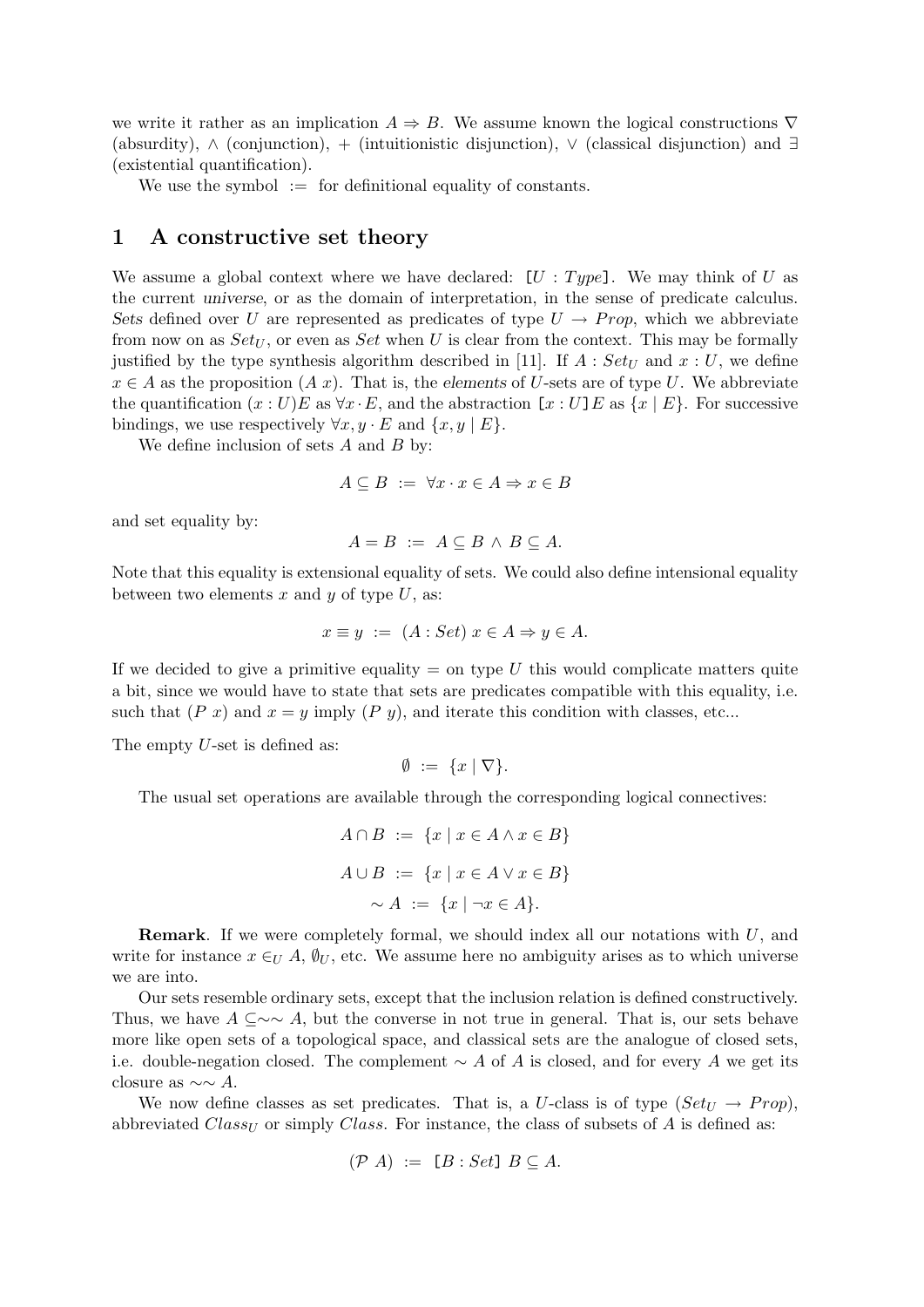we write it rather as an implication  $A \Rightarrow B$ . We assume known the logical constructions  $\nabla$ (absurdity), ∧ (conjunction), + (intuitionistic disjunction), ∨ (classical disjunction) and ∃ (existential quantification).

We use the symbol  $\mathcal{L} =$  for definitional equality of constants.

### 1 A constructive set theory

We assume a global context where we have declared:  $[U : Type]$ . We may think of U as the current universe, or as the domain of interpretation, in the sense of predicate calculus. Sets defined over U are represented as predicates of type  $U \rightarrow Prop$ , which we abbreviate from now on as  $Set_U$ , or even as  $Set$  when U is clear from the context. This may be formally justified by the type synthesis algorithm described in [11]. If  $A : Set_{U}$  and  $x : U$ , we define  $x \in A$  as the proposition  $(A x)$ . That is, the elements of U-sets are of type U. We abbreviate the quantification  $(x : U)E$  as  $\forall x \cdot E$ , and the abstraction  $[x : U]E$  as  $\{x \mid E\}$ . For successive bindings, we use respectively  $\forall x, y \in E$  and  $\{x, y \mid E\}$ .

We define inclusion of sets  $A$  and  $B$  by:

$$
A \subseteq B := \forall x \cdot x \in A \Rightarrow x \in B
$$

and set equality by:

$$
A = B \ := \ A \subseteq B \land B \subseteq A.
$$

Note that this equality is extensional equality of sets. We could also define intensional equality between two elements x and y of type  $U$ , as:

$$
x \equiv y \ := \ (A : Set) \ x \in A \Rightarrow y \in A.
$$

If we decided to give a primitive equality  $=$  on type U this would complicate matters quite a bit, since we would have to state that sets are predicates compatible with this equality, i.e. such that  $(P x)$  and  $x = y$  imply  $(P y)$ , and iterate this condition with classes, etc...

The empty U-set is defined as:

$$
\emptyset \; := \; \{x \mid \nabla\}.
$$

The usual set operations are available through the corresponding logical connectives:

$$
A \cap B := \{x \mid x \in A \land x \in B\}
$$

$$
A \cup B := \{x \mid x \in A \lor x \in B\}
$$

$$
\sim A := \{x \mid \neg x \in A\}.
$$

**Remark.** If we were completely formal, we should index all our notations with  $U$ , and write for instance  $x \in U$  A,  $\emptyset_U$ , etc. We assume here no ambiguity arises as to which universe we are into.

Our sets resemble ordinary sets, except that the inclusion relation is defined constructively. Thus, we have  $A \subset \sim A$ , but the converse in not true in general. That is, our sets behave more like open sets of a topological space, and classical sets are the analogue of closed sets, i.e. double-negation closed. The complement  $\sim A$  of A is closed, and for every A we get its closure as  $\sim \sim A$ .

We now define classes as set predicates. That is, a U-class is of type  $(Set_{U} \rightarrow Prop)$ , abbreviated  $Class_U$  or simply Class. For instance, the class of subsets of A is defined as:

$$
(\mathcal{P} A) := [B : Set] \ B \subseteq A.
$$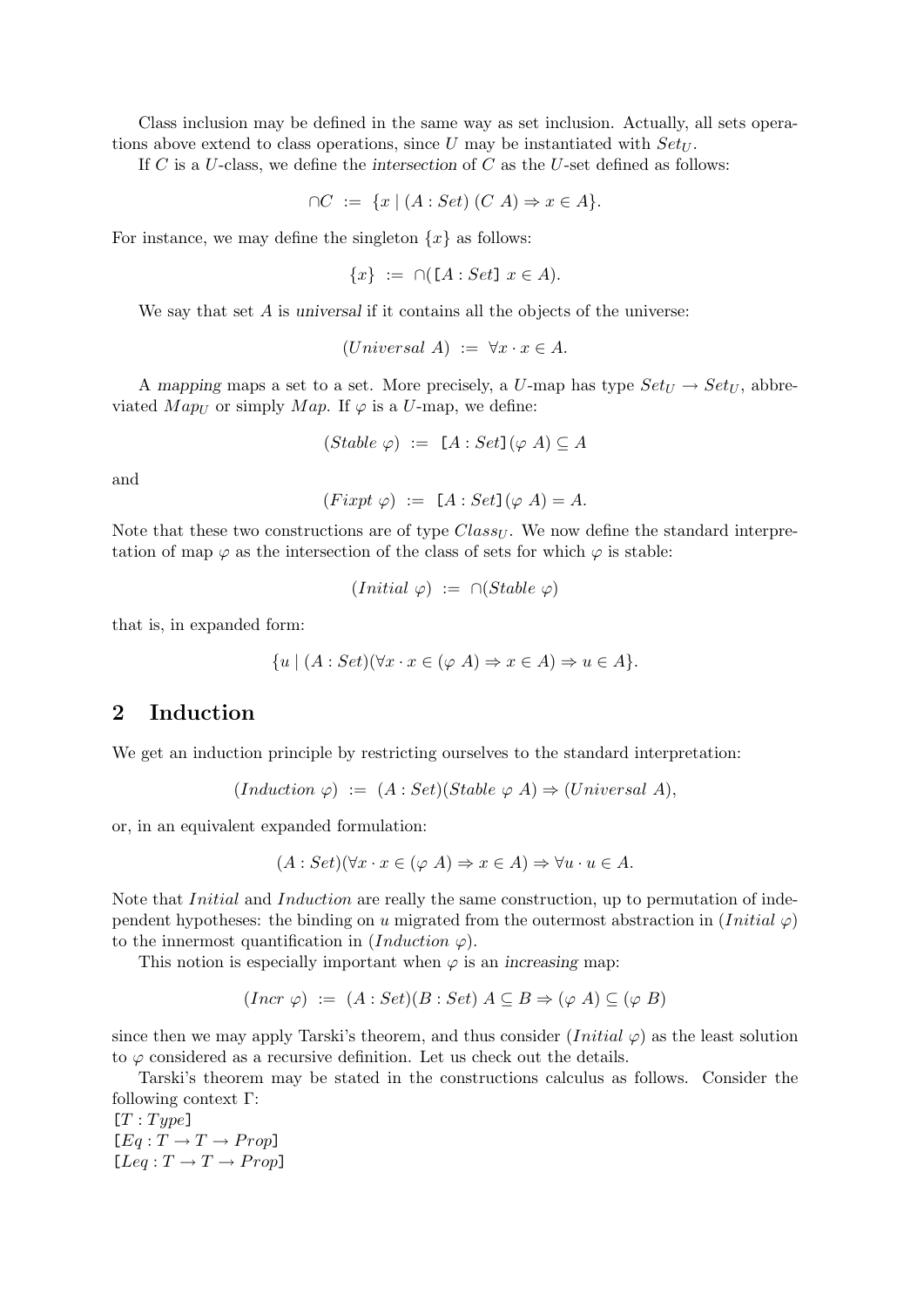Class inclusion may be defined in the same way as set inclusion. Actually, all sets operations above extend to class operations, since  $U$  may be instantiated with  $Set_U$ .

If C is a U-class, we define the intersection of C as the U-set defined as follows:

$$
\cap C := \{ x \mid (A : Set) (C \land A) \Rightarrow x \in A \}.
$$

For instance, we may define the singleton  $\{x\}$  as follows:

$$
\{x\} := \cap (\llbracket A : Set \rrbracket \ x \in A).
$$

We say that set  $A$  is universal if it contains all the objects of the universe:

 $(Universal A) := \forall x \cdot x \in A.$ 

A mapping maps a set to a set. More precisely, a U-map has type  $Set_U \rightarrow Set_U$ , abbreviated  $Map_U$  or simply  $Map$ . If  $\varphi$  is a U-map, we define:

$$
(Stable \varphi) := [A : Set] (\varphi A) \subseteq A
$$

and

$$
(First \varphi) := [A:Set](\varphi A) = A.
$$

Note that these two constructions are of type  $Class_{U}$ . We now define the standard interpretation of map  $\varphi$  as the intersection of the class of sets for which  $\varphi$  is stable:

$$
(Initial \varphi) := \cap (Stable \varphi)
$$

that is, in expanded form:

$$
\{u \mid (A : Set)(\forall x \cdot x \in (\varphi \ A) \Rightarrow x \in A) \Rightarrow u \in A\}.
$$

## 2 Induction

We get an induction principle by restricting ourselves to the standard interpretation:

$$
(Induction \varphi) := (A : Set)(Stable \varphi A) \Rightarrow (Universal \ A),
$$

or, in an equivalent expanded formulation:

$$
(A: Set)(\forall x \cdot x \in (\varphi \land ) \Rightarrow x \in A) \Rightarrow \forall u \cdot u \in A.
$$

Note that *Initial* and *Induction* are really the same construction, up to permutation of independent hypotheses: the binding on u migrated from the outermost abstraction in  $(Initial \varphi)$ to the innermost quantification in  $(Induction \varphi)$ .

This notion is especially important when  $\varphi$  is an increasing map:

$$
(Incr \varphi) := (A : Set)(B : Set) \land \subseteq B \Rightarrow (\varphi \land) \subseteq (\varphi \land)
$$

since then we may apply Tarski's theorem, and thus consider  $(Initial \varphi)$  as the least solution to  $\varphi$  considered as a recursive definition. Let us check out the details.

Tarski's theorem may be stated in the constructions calculus as follows. Consider the following context Γ:

 $[T : Type]$  $[Eq: T \rightarrow T \rightarrow Prop]$  $[Leg: T \rightarrow T \rightarrow Prop]$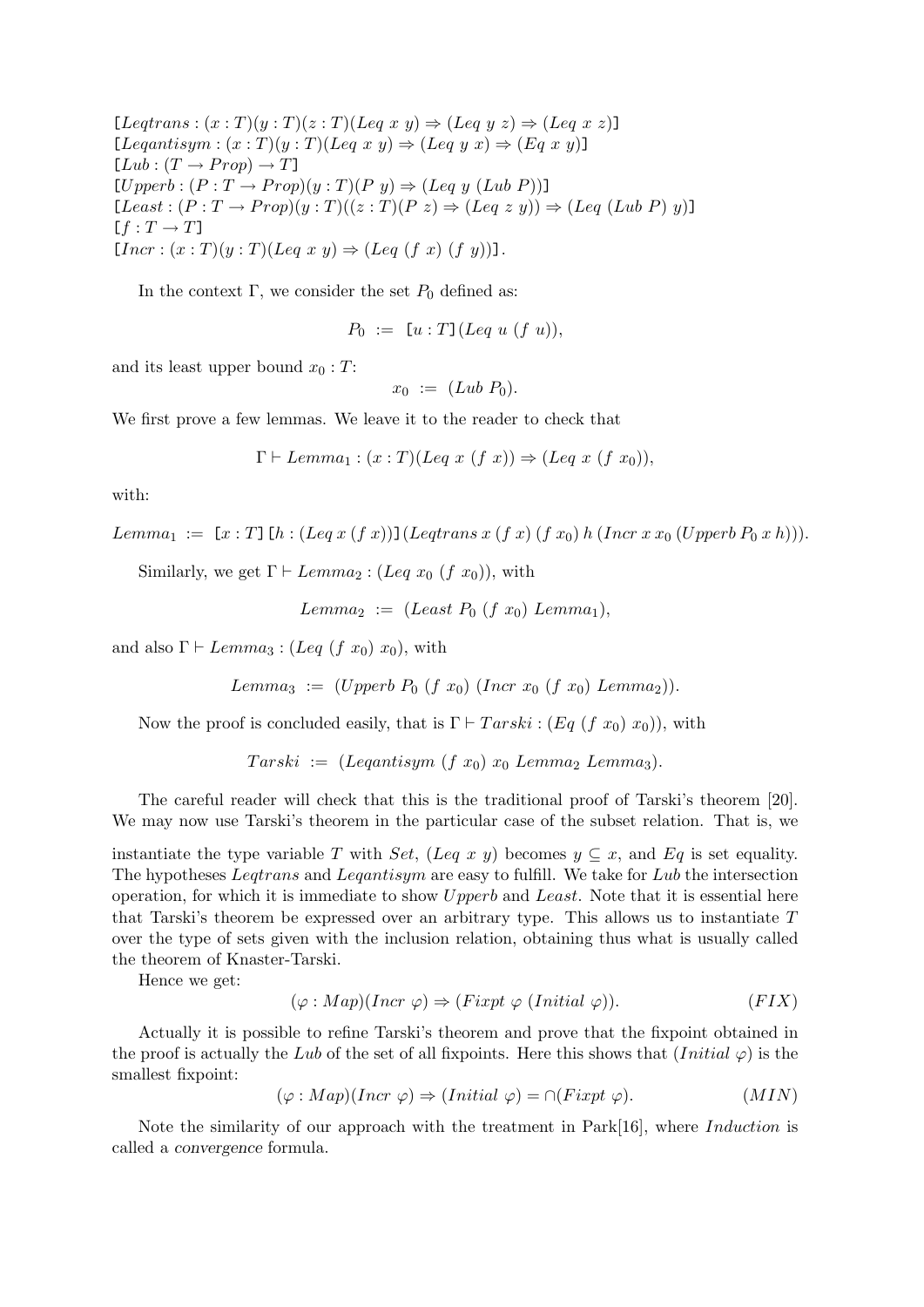$[Leqtrans: (x : T)(y : T)(z : T)(Leg x y) \Rightarrow (Leg y z) \Rightarrow (Leg x z)]$  $[Leqantisym : (x : T)(y : T)(Leq x y) \Rightarrow (Leq y x) \Rightarrow (Eq x y)]$  $[Lub : (T \rightarrow Prop) \rightarrow T]$  $[Upperb:(P:T\rightarrow Prop)(y:T)(Py) \Rightarrow (Leg y(Lub P))]$  $[Least:(P:T\rightarrow Prop)(y:T)((z:T)(Pz)\Rightarrow (Leg\ z\ y))\Rightarrow (Leg\ (Lub\ P)\ y)]$  $[f : T \rightarrow T]$  $[Incr : (x : T)(y : T)(Leg x y) \Rightarrow (Leg (f x) (f y))].$ 

In the context  $\Gamma$ , we consider the set  $P_0$  defined as:

$$
P_0 := [u : T] (Leq u (f u)),
$$

and its least upper bound  $x_0 : T$ :

$$
x_0 := (Lub P_0).
$$

We first prove a few lemmas. We leave it to the reader to check that

 $\Gamma \vdash Lemma_1 : (x : T)(Leaf\ x\ (f\ x)) \Rightarrow (Leg\ x\ (f\ x_0)),$ 

with:

$$
Lemma_1 := [x : T] [h : (Leg\ x (f\ x))] (Leqtrans\ x (f\ x) (f\ x_0) h (Incr\ x\ x_0 (Upperb\ P_0\ x\ h))).
$$

Similarly, we get  $\Gamma \vdash Lemma_2 : (Leg \ x_0 \ (f \ x_0)),$  with

$$
Lemma_2 := (Least\ P_0\ (f\ x_0)\ Lemma_1),
$$

and also  $\Gamma \vdash Lemma_3 : (Leg (f x_0) x_0)$ , with

Lemma<sub>3</sub> := (Upperb  $P_0$  (f  $x_0$ ) (Incr  $x_0$  (f  $x_0$ ) Lemma<sub>2</sub>)).

Now the proof is concluded easily, that is  $\Gamma \vdash Tarski : (Eq (f x_0) x_0)$ , with

$$
Tarski := (Leqantisym (f x_0) x_0 Lemma_2 Lemma_3).
$$

The careful reader will check that this is the traditional proof of Tarski's theorem [20]. We may now use Tarski's theorem in the particular case of the subset relation. That is, we

instantiate the type variable T with Set, (Leq x y) becomes  $y \subseteq x$ , and Eq is set equality. The hypotheses Leqtrans and Leqantisym are easy to fulfill. We take for Lub the intersection operation, for which it is immediate to show  $Upperb$  and Least. Note that it is essential here that Tarski's theorem be expressed over an arbitrary type. This allows us to instantiate  $T$ over the type of sets given with the inclusion relation, obtaining thus what is usually called the theorem of Knaster-Tarski.

Hence we get:

$$
(\varphi: Map)(Incr \varphi) \Rightarrow (Fixpt \varphi (Initial \varphi)). \tag{FIN}
$$

Actually it is possible to refine Tarski's theorem and prove that the fixpoint obtained in the proof is actually the Lub of the set of all fixpoints. Here this shows that  $(Initial \varphi)$  is the smallest fixpoint:

$$
(\varphi : Map)(Incr \varphi) \Rightarrow (Initial \varphi) = \cap (Fixpt \varphi). \tag{MIN}
$$

Note the similarity of our approach with the treatment in Park[16], where Induction is called a convergence formula.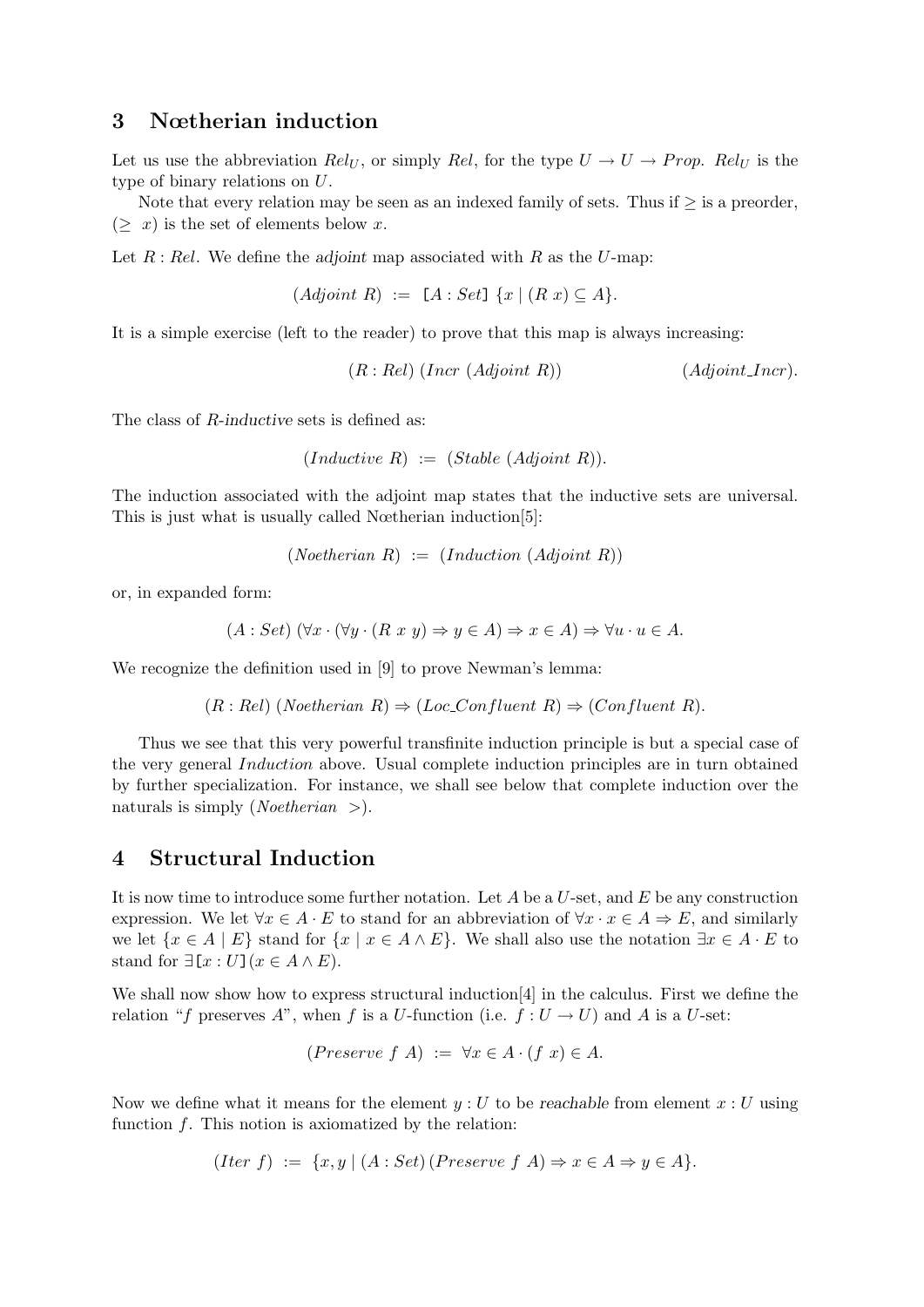## 3 Nœtherian induction

Let us use the abbreviation  $Rel_U$ , or simply Rel, for the type  $U \rightarrow U \rightarrow Prop.$  Rel<sub>U</sub> is the type of binary relations on U.

Note that every relation may be seen as an indexed family of sets. Thus if  $\geq$  is a preorder,  $(\geq x)$  is the set of elements below x.

Let  $R: Rel.$  We define the adjoint map associated with  $R$  as the  $U$ -map:

$$
(Adjoint R) := [A:Set] \{x \mid (R x) \subseteq A\}.
$$

It is a simple exercise (left to the reader) to prove that this map is always increasing:

 $(R: Rel) (Incr (Adjoint R))$  (Adjoint Incr).

The class of R-inductive sets is defined as:

 $(Inductive R) := (Stable (Adjoint R)).$ 

The induction associated with the adjoint map states that the inductive sets are universal. This is just what is usually called Nœtherian induction[5]:

 $(Noetherian R) := (Induction (Adjoint R))$ 

or, in expanded form:

$$
(A: Set) \ (\forall x \cdot (\forall y \cdot (R \ x \ y) \Rightarrow y \in A) \Rightarrow x \in A) \Rightarrow \forall u \cdot u \in A.
$$

We recognize the definition used in [9] to prove Newman's lemma:

 $(R: Rel)$  (Noetherian  $R) \Rightarrow (Loc\_Confluent R) \Rightarrow (Confluent R)$ ).

Thus we see that this very powerful transfinite induction principle is but a special case of the very general Induction above. Usual complete induction principles are in turn obtained by further specialization. For instance, we shall see below that complete induction over the naturals is simply (*Noetherian*  $>$ ).

## 4 Structural Induction

It is now time to introduce some further notation. Let  $A$  be a  $U$ -set, and  $E$  be any construction expression. We let  $\forall x \in A \cdot E$  to stand for an abbreviation of  $\forall x \cdot x \in A \Rightarrow E$ , and similarly we let  $\{x \in A \mid E\}$  stand for  $\{x \mid x \in A \wedge E\}$ . We shall also use the notation  $\exists x \in A \cdot E$  to stand for  $\exists [x:U](x \in A \wedge E)$ .

We shall now show how to express structural induction [4] in the calculus. First we define the relation "f preserves A", when f is a U-function (i.e.  $f: U \to U$ ) and A is a U-set:

$$
(Preserve f \, A) \; := \; \forall x \in A \cdot (f \, x) \in A.
$$

Now we define what it means for the element  $y:U$  to be reachable from element  $x:U$  using function  $f$ . This notion is axiomatized by the relation:

$$
(Iter\ f) := \{x, y \mid (A : Set) (Preserve\ f\ A) \Rightarrow x \in A \Rightarrow y \in A\}.
$$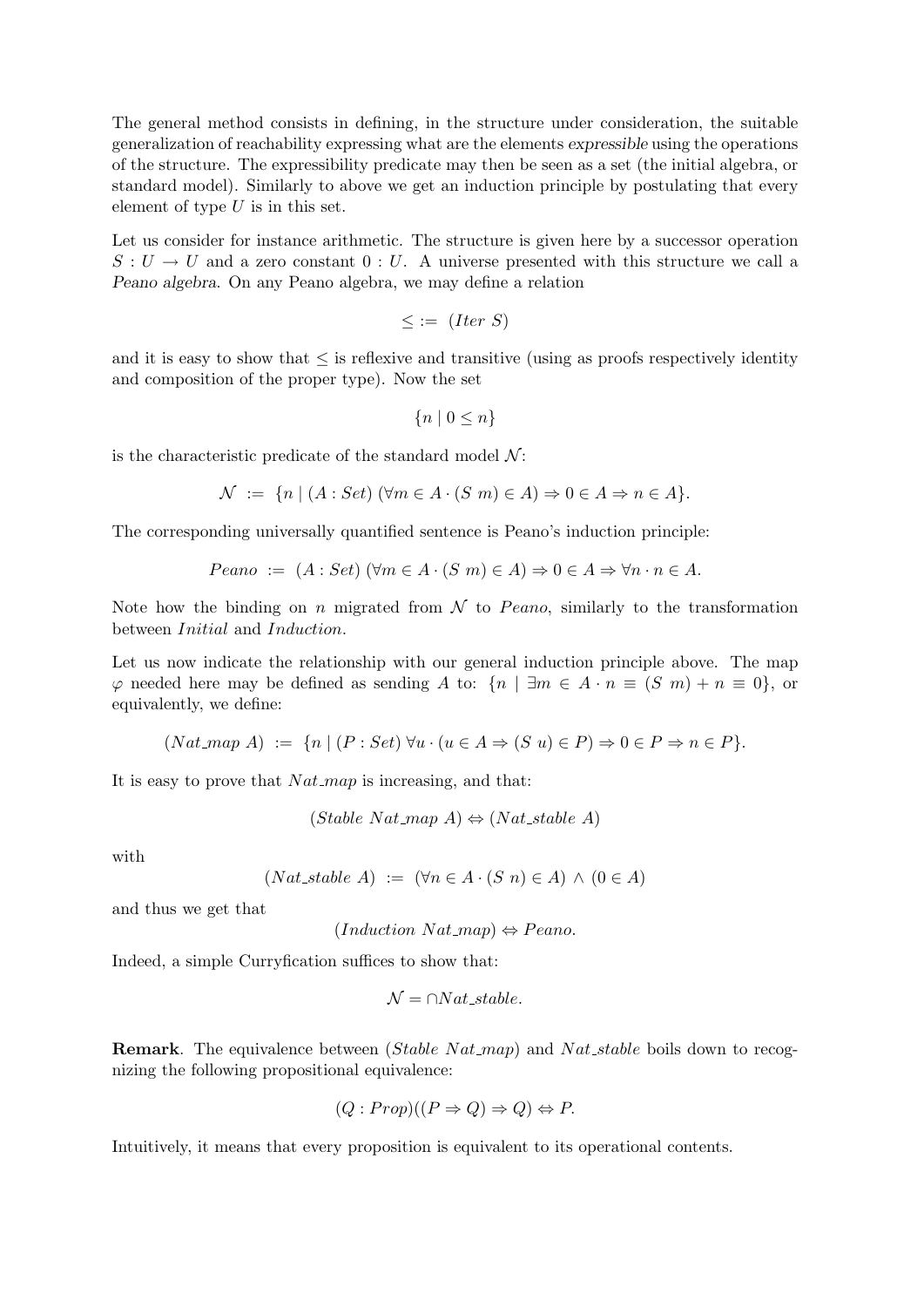The general method consists in defining, in the structure under consideration, the suitable generalization of reachability expressing what are the elements expressible using the operations of the structure. The expressibility predicate may then be seen as a set (the initial algebra, or standard model). Similarly to above we get an induction principle by postulating that every element of type  $U$  is in this set.

Let us consider for instance arithmetic. The structure is given here by a successor operation  $S: U \to U$  and a zero constant  $0: U$ . A universe presented with this structure we call a Peano algebra. On any Peano algebra, we may define a relation

$$
\leq := (Iter S)
$$

and it is easy to show that  $\leq$  is reflexive and transitive (using as proofs respectively identity and composition of the proper type). Now the set

$$
\{n \mid 0 \le n\}
$$

is the characteristic predicate of the standard model  $\mathcal{N}$ :

$$
\mathcal{N} := \{ n \mid (A : Set) \ (\forall m \in A \cdot (S \ m) \in A) \Rightarrow 0 \in A \Rightarrow n \in A \}.
$$

The corresponding universally quantified sentence is Peano's induction principle:

$$
Peano := (A : Set) \ (\forall m \in A \cdot (S \ m) \in A) \Rightarrow 0 \in A \Rightarrow \forall n \cdot n \in A.
$$

Note how the binding on n migrated from  $\mathcal N$  to Peano, similarly to the transformation between Initial and Induction.

Let us now indicate the relationship with our general induction principle above. The map  $\varphi$  needed here may be defined as sending A to:  $\{n \mid \exists m \in A \cdot n \equiv (S \; m) + n \equiv 0\}$ , or equivalently, we define:

$$
(Nat\text{-}map\ A) := \{ n \mid (P : Set) \,\forall u \cdot (u \in A \Rightarrow (S u) \in P) \Rightarrow 0 \in P \Rightarrow n \in P \}.
$$

It is easy to prove that  $Nat$ -map is increasing, and that:

$$
(Stable Nat-map A) \Leftrightarrow (Nat\_stable A)
$$

with

$$
(Nat\_stable \ A) := (\forall n \in A \cdot (S \ n) \in A) \land (0 \in A)
$$

and thus we get that

 $(Induction Nat-map) \Leftrightarrow Peano.$ 

Indeed, a simple Curryfication suffices to show that:

$$
\mathcal{N} = \cap Nat\_stable.
$$

**Remark.** The equivalence between  $(Stable Nat_m a p)$  and  $Nat-stable$  boils down to recognizing the following propositional equivalence:

$$
(Q: Prop)((P \Rightarrow Q) \Rightarrow Q) \Leftrightarrow P.
$$

Intuitively, it means that every proposition is equivalent to its operational contents.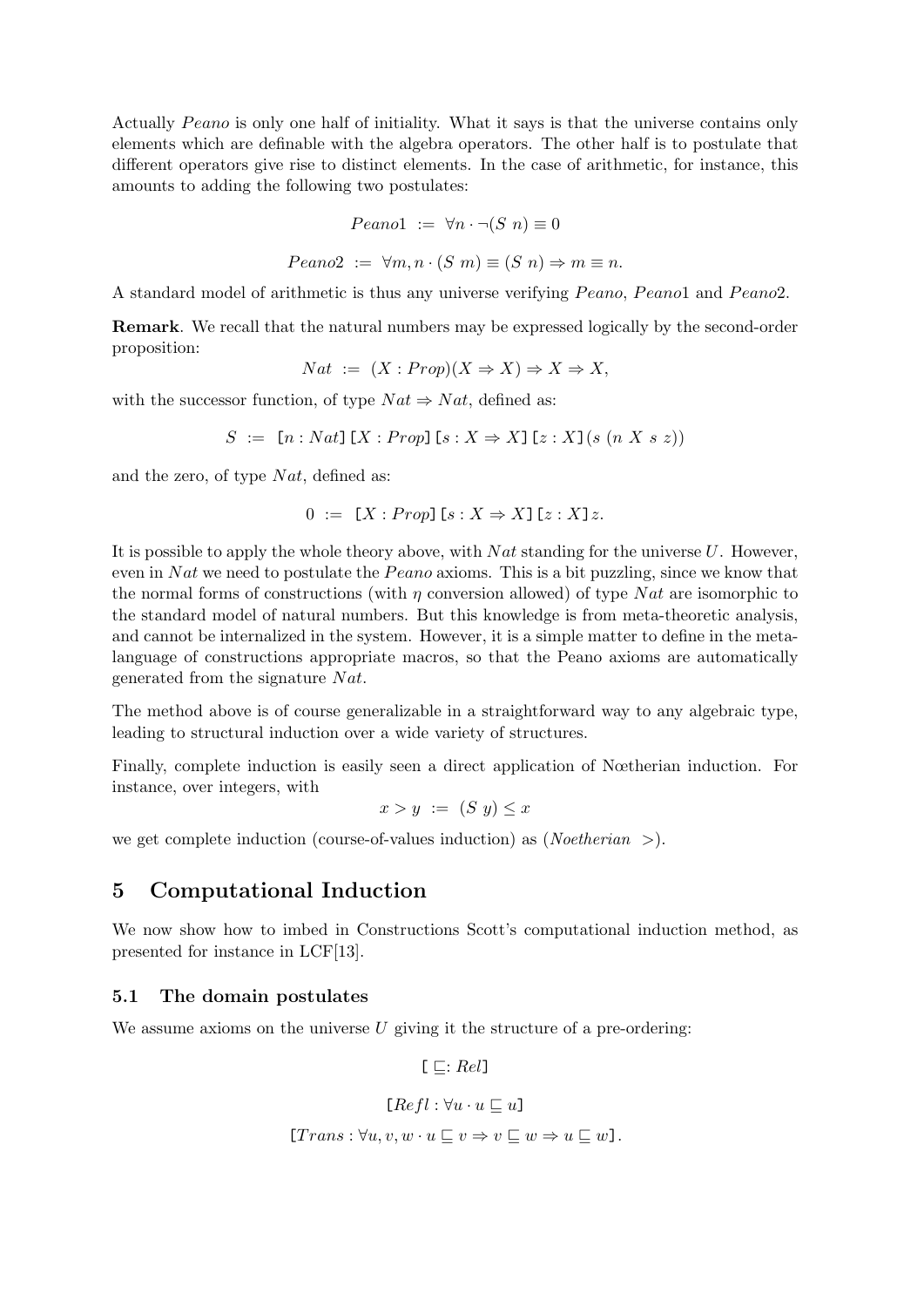Actually Peano is only one half of initiality. What it says is that the universe contains only elements which are definable with the algebra operators. The other half is to postulate that different operators give rise to distinct elements. In the case of arithmetic, for instance, this amounts to adding the following two postulates:

$$
Peano1 := \forall n \cdot \neg (S \ n) \equiv 0
$$

$$
Peano2 := \forall m, n \cdot (S \ m) \equiv (S \ n) \Rightarrow m \equiv n.
$$

A standard model of arithmetic is thus any universe verifying Peano, Peano1 and Peano2.

Remark. We recall that the natural numbers may be expressed logically by the second-order proposition:

$$
Nat := (X : Prop)(X \Rightarrow X) \Rightarrow X \Rightarrow X,
$$

with the successor function, of type  $Nat \Rightarrow Nat$ , defined as:

$$
S := [n : Nat] [X : Prop] [s : X \Rightarrow X] [z : X] (s (n X s z))
$$

and the zero, of type  $Nat$ , defined as:

$$
0 := [X : Prop] [s : X \Rightarrow X] [z : X] z.
$$

It is possible to apply the whole theory above, with  $Nat$  standing for the universe U. However, even in N at we need to postulate the Peano axioms. This is a bit puzzling, since we know that the normal forms of constructions (with  $\eta$  conversion allowed) of type Nat are isomorphic to the standard model of natural numbers. But this knowledge is from meta-theoretic analysis, and cannot be internalized in the system. However, it is a simple matter to define in the metalanguage of constructions appropriate macros, so that the Peano axioms are automatically generated from the signature  $Nat.$ 

The method above is of course generalizable in a straightforward way to any algebraic type, leading to structural induction over a wide variety of structures.

Finally, complete induction is easily seen a direct application of Nœtherian induction. For instance, over integers, with

$$
x > y := (S \ y) \le x
$$

we get complete induction (course-of-values induction) as (*Noetherian*  $>$ ).

## 5 Computational Induction

We now show how to imbed in Constructions Scott's computational induction method, as presented for instance in LCF[13].

#### 5.1 The domain postulates

We assume axioms on the universe  $U$  giving it the structure of a pre-ordering:

 $[\square: Rel]$ 

$$
[Refl:\forall u\cdot u\sqsubseteq u]
$$

[
$$
[Trans: \forall u, v, w \cdot u \sqsubseteq v \Rightarrow v \sqsubseteq w \Rightarrow u \sqsubseteq w].
$$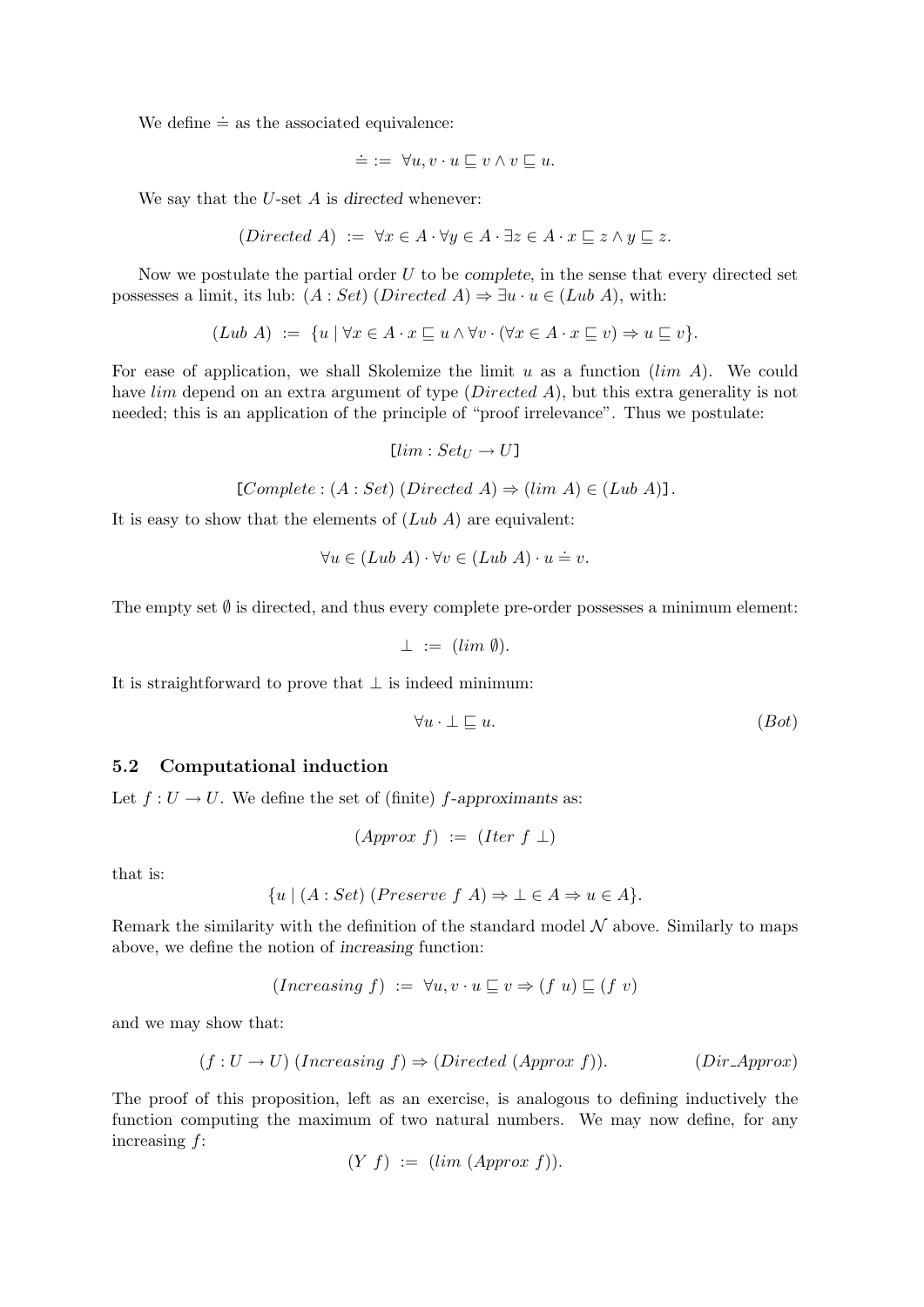We define  $\dot{=}$  as the associated equivalence:

$$
\doteq := \forall u, v \cdot u \sqsubseteq v \land v \sqsubseteq u.
$$

We say that the  $U$ -set  $A$  is directed whenever:

$$
(Directed A) := \forall x \in A \cdot \forall y \in A \cdot \exists z \in A \cdot x \sqsubseteq z \land y \sqsubseteq z.
$$

Now we postulate the partial order  $U$  to be *complete*, in the sense that every directed set possesses a limit, its lub:  $(A : Set)$  (Directed A)  $\Rightarrow \exists u \cdot u \in (Lub \ A)$ , with:

 $(Lub A) := \{u \mid \forall x \in A \cdot x \sqsubseteq u \wedge \forall v \cdot (\forall x \in A \cdot x \sqsubseteq v) \Rightarrow u \sqsubseteq v\}.$ 

For ease of application, we shall Skolemize the limit u as a function  $(lim A)$ . We could have *lim* depend on an extra argument of type (*Directed A*), but this extra generality is not needed; this is an application of the principle of "proof irrelevance". Thus we postulate:

$$
[lim: Set_U \rightarrow U]
$$

 $[Complete : (A : Set) (Directed A) \Rightarrow (lim A) \in (Lub A)].$ 

It is easy to show that the elements of  $(Lub A)$  are equivalent:

$$
\forall u \in (Lub \; A) \cdot \forall v \in (Lub \; A) \cdot u \doteq v.
$$

The empty set  $\emptyset$  is directed, and thus every complete pre-order possesses a minimum element:

$$
\perp := ( \lim \emptyset ).
$$

It is straightforward to prove that  $\bot$  is indeed minimum:

$$
\forall u \cdot \bot \sqsubseteq u. \tag{Bot}
$$

#### 5.2 Computational induction

Let  $f: U \to U$ . We define the set of (finite) f-approximants as:

$$
(Approx f) := (Iter f \perp)
$$

that is:

$$
\{u \mid (A : Set) \text{ (}Preserve f \text{ } A \text{)} \Rightarrow \bot \in A \Rightarrow u \in A \}.
$$

Remark the similarity with the definition of the standard model  $N$  above. Similarly to maps above, we define the notion of increasing function:

$$
(Increasing f) := \forall u, v \cdot u \sqsubseteq v \Rightarrow (f u) \sqsubseteq (f v)
$$

and we may show that:

$$
(f: U \to U) \text{ (Increasing } f) \Rightarrow \text{ (Directed (Approx } f\text{)).} \qquad \text{(Dir-Approx)}
$$

The proof of this proposition, left as an exercise, is analogous to defining inductively the function computing the maximum of two natural numbers. We may now define, for any increasing f:

$$
(Y f) := (lim (Approx f)).
$$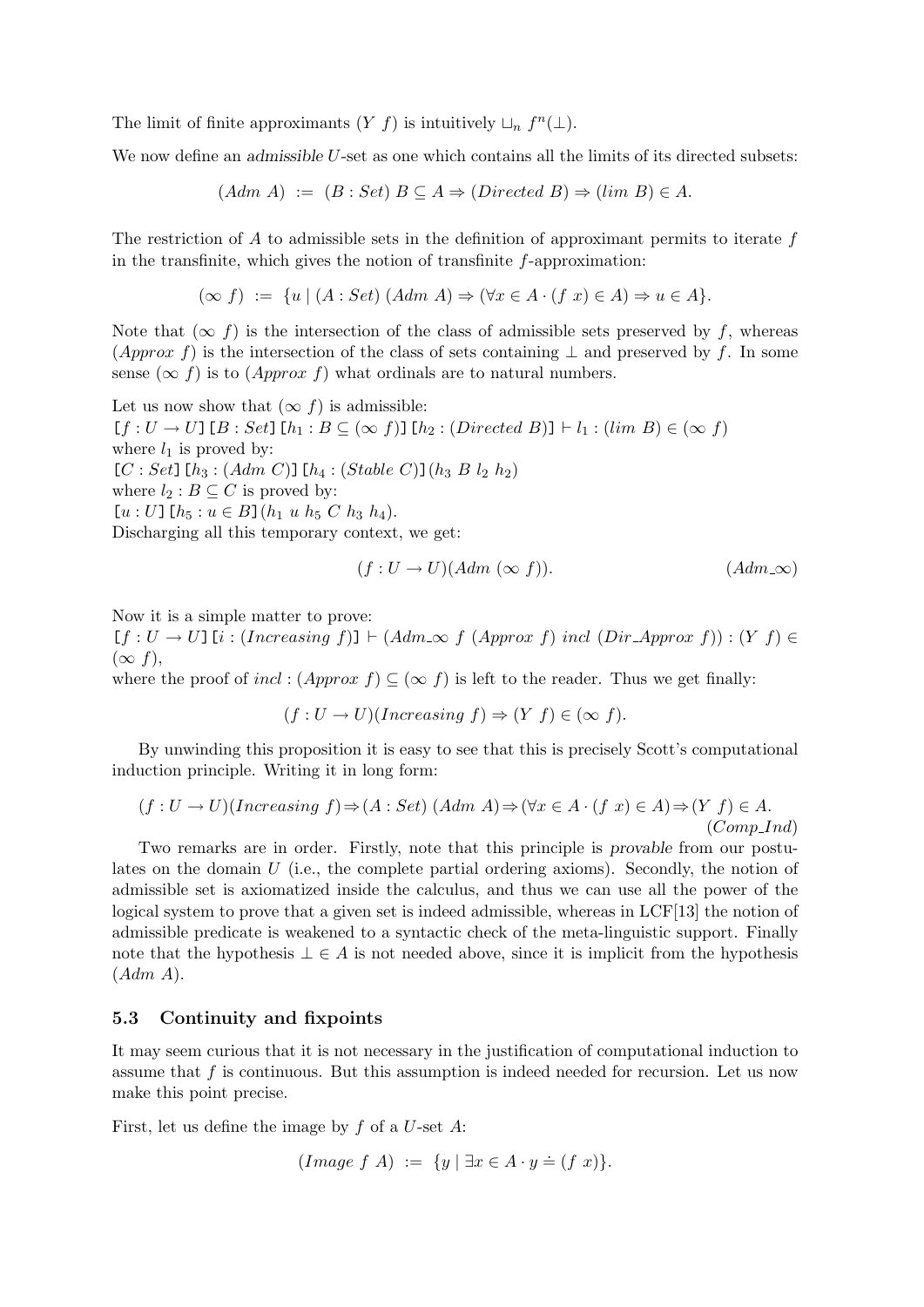The limit of finite approximants  $(Y f)$  is intuitively  $\sqcup_n f^n(\bot)$ .

We now define an admissible U-set as one which contains all the limits of its directed subsets:

$$
(Adm A) := (B : Set) B \subseteq A \Rightarrow (Directed B) \Rightarrow (lim B) \in A.
$$

The restriction of A to admissible sets in the definition of approximant permits to iterate  $f$ in the transfinite, which gives the notion of transfinite f-approximation:

$$
(\infty f) := \{ u \mid (A : Set) (Adm A) \Rightarrow (\forall x \in A \cdot (f x) \in A) \Rightarrow u \in A \}.
$$

Note that  $(\infty f)$  is the intersection of the class of admissible sets preserved by f, whereas (Approx f) is the intersection of the class of sets containing  $\perp$  and preserved by f. In some sense ( $\infty$  f) is to (*Approx f*) what ordinals are to natural numbers.

Let us now show that  $(\infty f)$  is admissible:  $[f : U \to U]$   $[B : Set]$   $[h_1 : B \subseteq (\infty f)]$   $[h_2 : (Directed \, B)] \vdash l_1 : (lim \, B) \in (\infty f)$ where  $l_1$  is proved by:  $[C : Set]$ [ $h_3 : (Adm C)$ ][ $h_4 : (Stable C)$ ]( $h_3 B l_2 h_2$ ) where  $l_2 : B \subseteq C$  is proved by:  $[u: U]$   $[h_5: u \in B]$   $(h_1 \ u \ h_5 \ C \ h_3 \ h_4)$ . Discharging all this temporary context, we get:

$$
(f:U \to U)(Adm (\infty f)). \tag{Adm\infty}
$$

Now it is a simple matter to prove:

 $[f: U \to U]$   $[i: (Increasing f)] \vdash (Adm \infty f (Approx f) incl (Dir \rightarrow P) : (Y f) \in$  $(\infty f),$ 

where the proof of incl :  $(Approx f) \subseteq (\infty f)$  is left to the reader. Thus we get finally:

$$
(f: U \to U)(Increasing f) \Rightarrow (Y f) \in (\infty f).
$$

By unwinding this proposition it is easy to see that this is precisely Scott's computational induction principle. Writing it in long form:

$$
(f: U \to U)(Increasing f) \Rightarrow (A: Set) (Adm A) \Rightarrow (\forall x \in A \cdot (f x) \in A) \Rightarrow (Y f) \in A.
$$
  
(Comp\\_Ind)

Two remarks are in order. Firstly, note that this principle is provable from our postulates on the domain  $U$  (i.e., the complete partial ordering axioms). Secondly, the notion of admissible set is axiomatized inside the calculus, and thus we can use all the power of the logical system to prove that a given set is indeed admissible, whereas in LCF[13] the notion of admissible predicate is weakened to a syntactic check of the meta-linguistic support. Finally note that the hypothesis  $\bot \in A$  is not needed above, since it is implicit from the hypothesis  $(Adm A).$ 

#### 5.3 Continuity and fixpoints

It may seem curious that it is not necessary in the justification of computational induction to assume that  $f$  is continuous. But this assumption is indeed needed for recursion. Let us now make this point precise.

First, let us define the image by  $f$  of a  $U$ -set  $A$ :

$$
(Image f A) := \{ y \mid \exists x \in A \cdot y \doteq (f x) \}.
$$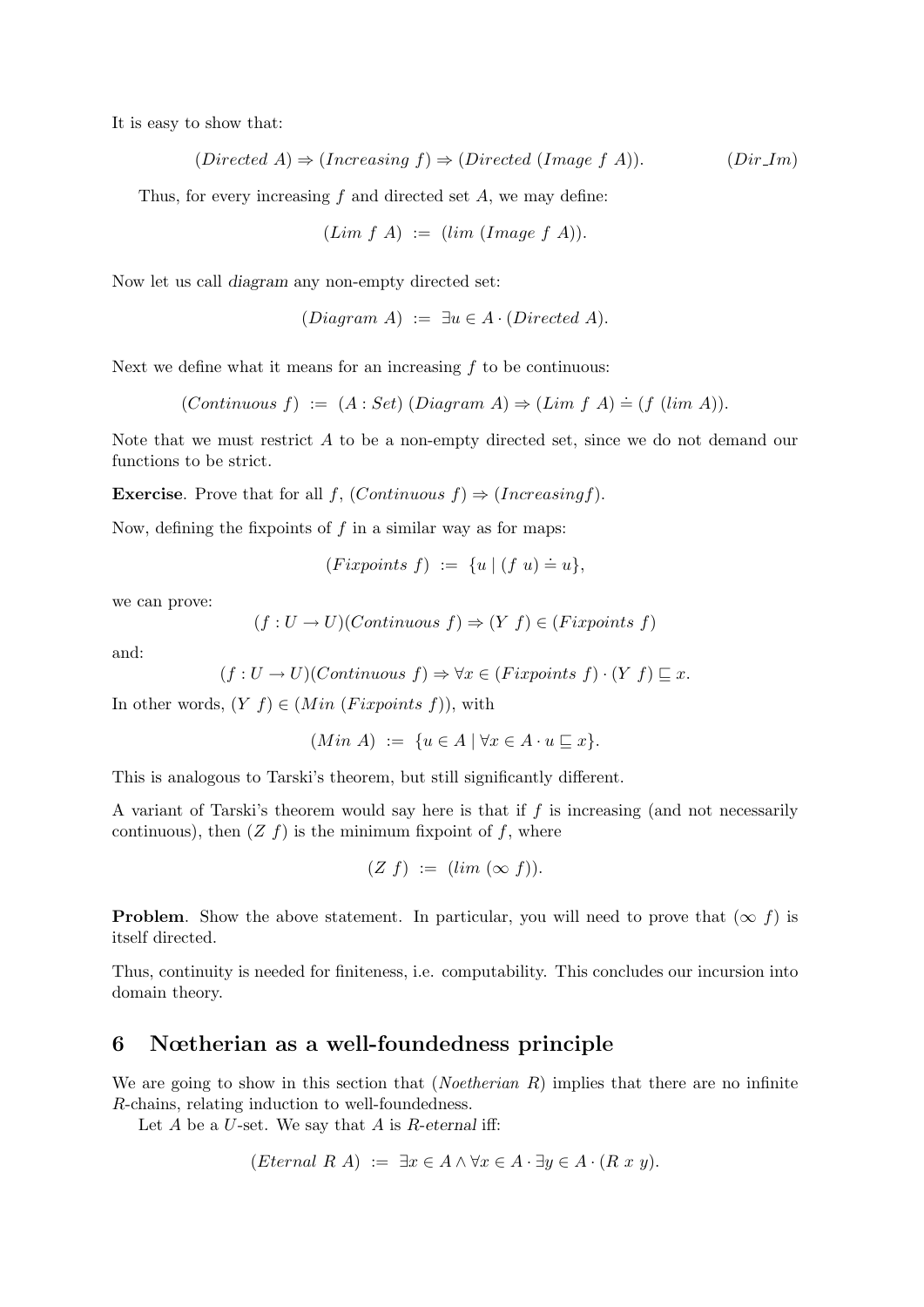It is easy to show that:

$$
(Directed A) \Rightarrow (Increasing f) \Rightarrow (Directed (Image f A)). \qquad (Dir Im)
$$

Thus, for every increasing  $f$  and directed set  $A$ , we may define:

$$
(Lim f A) := (lim (Image f A)).
$$

Now let us call diagram any non-empty directed set:

$$
(Diagram\ A)\ :=\ \exists u\in A\cdot (Directed\ A).
$$

Next we define what it means for an increasing  $f$  to be continuous:

 $(Continuous f) := (A : Set) (Diagram A) \Rightarrow (Lim f A) \doteq (f (lim A)).$ 

Note that we must restrict A to be a non-empty directed set, since we do not demand our functions to be strict.

**Exercise.** Prove that for all  $f$ ,  $(Continuous f) \Rightarrow (Increasing f)$ .

Now, defining the fixpoints of  $f$  in a similar way as for maps:

 $(Fixpoints f) := \{u \mid (f u) \doteq u\},\$ 

we can prove:

$$
(f: U \to U)(Continuous f) \Rightarrow (Y f) \in (Fix points f)
$$

and:

$$
(f: U \to U)(Continuous f) \Rightarrow \forall x \in (Fix points f) \cdot (Y f) \sqsubseteq x.
$$

In other words,  $(Y f) \in (Min (Fix points f)),$  with

$$
(Min A) := \{ u \in A \mid \forall x \in A \cdot u \sqsubseteq x \}.
$$

This is analogous to Tarski's theorem, but still significantly different.

A variant of Tarski's theorem would say here is that if  $f$  is increasing (and not necessarily continuous), then  $(Z f)$  is the minimum fixpoint of f, where

$$
(Z f) := (lim (\infty f)).
$$

**Problem.** Show the above statement. In particular, you will need to prove that  $(\infty f)$  is itself directed.

Thus, continuity is needed for finiteness, i.e. computability. This concludes our incursion into domain theory.

## 6 Nœtherian as a well-foundedness principle

We are going to show in this section that (*Noetherian R*) implies that there are no infinite R-chains, relating induction to well-foundedness.

Let  $A$  be a  $U$ -set. We say that  $A$  is  $R$ -eternal iff:

$$
(Eternal \ R \ A) := \exists x \in A \land \forall x \in A \cdot \exists y \in A \cdot (R \ x \ y).
$$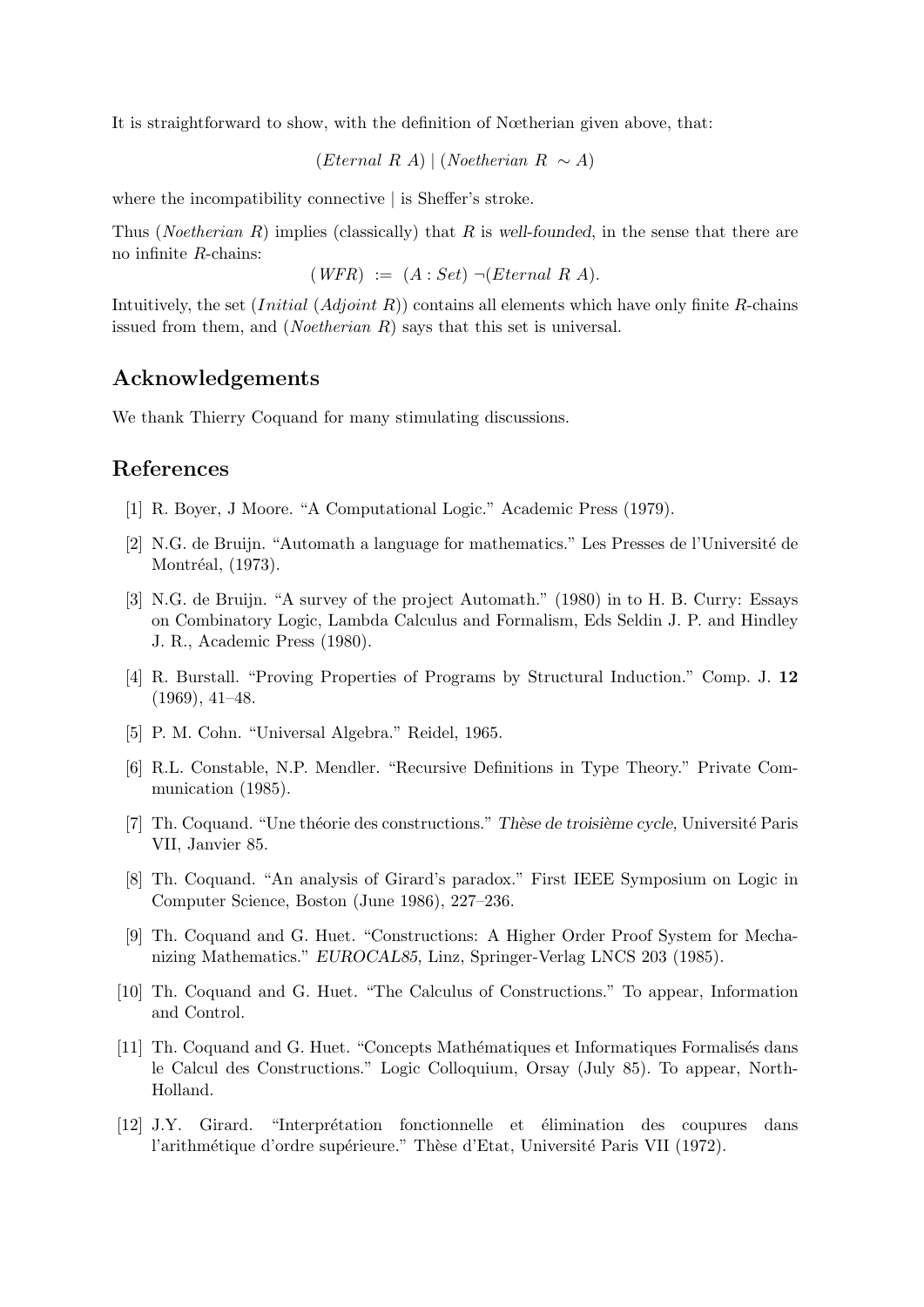It is straightforward to show, with the definition of Nœtherian given above, that:

(Eternal R A) | (Noetherian R ∼ A)

where the incompatibility connective | is Sheffer's stroke.

Thus (*Noetherian R*) implies (classically) that R is well-founded, in the sense that there are no infinite R-chains:

 $(WFR) := (A: Set) \neg (Eternal \ R \ A).$ 

Intuitively, the set  $(Initial (Adjoint R))$  contains all elements which have only finite R-chains issued from them, and (*Noetherian R*) says that this set is universal.

## Acknowledgements

We thank Thierry Coquand for many stimulating discussions.

# References

- [1] R. Boyer, J Moore. "A Computational Logic." Academic Press (1979).
- [2] N.G. de Bruijn. "Automath a language for mathematics." Les Presses de l'Universit´e de Montréal, (1973).
- [3] N.G. de Bruijn. "A survey of the project Automath." (1980) in to H. B. Curry: Essays on Combinatory Logic, Lambda Calculus and Formalism, Eds Seldin J. P. and Hindley J. R., Academic Press (1980).
- [4] R. Burstall. "Proving Properties of Programs by Structural Induction." Comp. J. 12 (1969), 41–48.
- [5] P. M. Cohn. "Universal Algebra." Reidel, 1965.
- [6] R.L. Constable, N.P. Mendler. "Recursive Definitions in Type Theory." Private Communication (1985).
- [7] Th. Coquand. "Une théorie des constructions." Thèse de troisième cycle, Université Paris VII, Janvier 85.
- [8] Th. Coquand. "An analysis of Girard's paradox." First IEEE Symposium on Logic in Computer Science, Boston (June 1986), 227–236.
- [9] Th. Coquand and G. Huet. "Constructions: A Higher Order Proof System for Mechanizing Mathematics." EUROCAL85, Linz, Springer-Verlag LNCS 203 (1985).
- [10] Th. Coquand and G. Huet. "The Calculus of Constructions." To appear, Information and Control.
- [11] Th. Coquand and G. Huet. "Concepts Mathématiques et Informatiques Formalisés dans le Calcul des Constructions." Logic Colloquium, Orsay (July 85). To appear, North-Holland.
- [12] J.Y. Girard. "Interpr´etation fonctionnelle et ´elimination des coupures dans l'arithmétique d'ordre supérieure." Thèse d'Etat, Université Paris VII (1972).